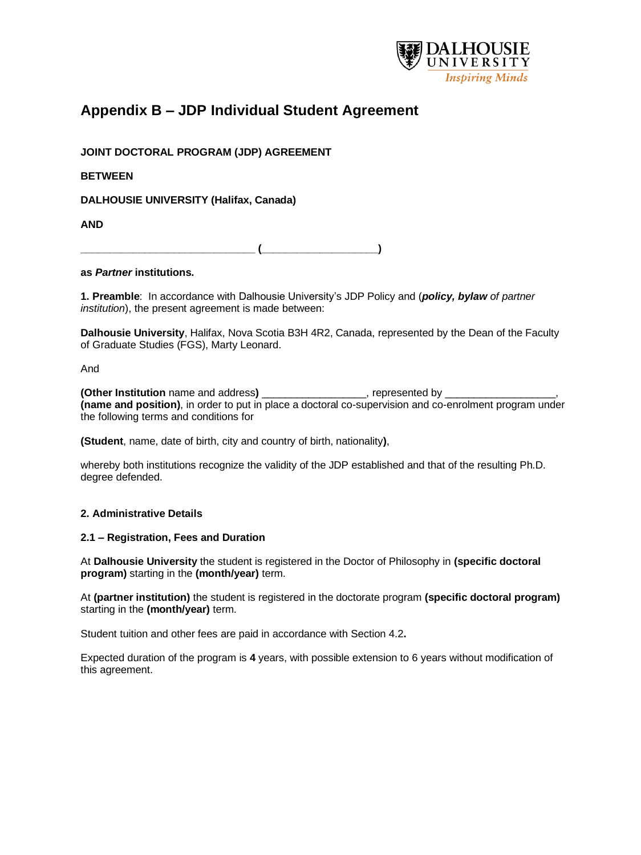

# **Appendix B – JDP Individual Student Agreement**

**JOINT DOCTORAL PROGRAM (JDP) AGREEMENT**

**BETWEEN** 

**DALHOUSIE UNIVERSITY (Halifax, Canada)** 

**AND** 

**\_\_\_\_\_\_\_\_\_\_\_\_\_\_\_\_\_\_\_\_\_\_\_\_\_\_\_\_\_\_ (\_\_\_\_\_\_\_\_\_\_\_\_\_\_\_\_\_\_\_\_)** 

# **as** *Partner* **institutions.**

**1. Preamble**: In accordance with Dalhousie University's JDP Policy and (*policy, bylaw of partner institution*), the present agreement is made between:

**Dalhousie University**, Halifax, Nova Scotia B3H 4R2, Canada, represented by the Dean of the Faculty of Graduate Studies (FGS), Marty Leonard.

And

**(Other Institution** name and address**)** \_\_\_\_\_\_\_\_\_\_\_\_\_\_\_\_\_\_, represented by \_\_\_\_\_\_\_\_\_\_\_\_\_\_\_\_\_\_\_, **(name and position)**, in order to put in place a doctoral co-supervision and co-enrolment program under the following terms and conditions for

**(Student**, name, date of birth, city and country of birth, nationality**)**,

whereby both institutions recognize the validity of the JDP established and that of the resulting Ph.D. degree defended.

# **2. Administrative Details**

# **2.1 – Registration, Fees and Duration**

At **Dalhousie University** the student is registered in the Doctor of Philosophy in **(specific doctoral program)** starting in the **(month/year)** term.

At **(partner institution)** the student is registered in the doctorate program **(specific doctoral program)** starting in the **(month/year)** term.

Student tuition and other fees are paid in accordance with Section 4.2**.** 

Expected duration of the program is **4** years, with possible extension to 6 years without modification of this agreement.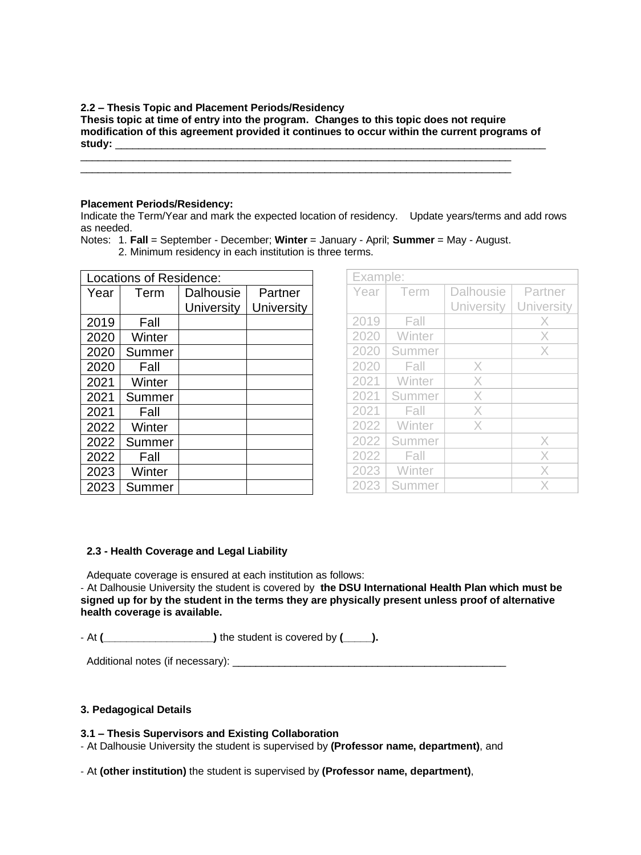#### **2.2 – Thesis Topic and Placement Periods/Residency**

**Thesis topic at time of entry into the program. Changes to this topic does not require modification of this agreement provided it continues to occur within the current programs of study:** \_\_\_\_\_\_\_\_\_\_\_\_\_\_\_\_\_\_\_\_\_\_\_\_\_\_\_\_\_\_\_\_\_\_\_\_\_\_\_\_\_\_\_\_\_\_\_\_\_\_\_\_\_\_\_\_\_\_\_\_\_\_\_\_\_\_\_\_\_\_\_\_\_\_

\_\_\_\_\_\_\_\_\_\_\_\_\_\_\_\_\_\_\_\_\_\_\_\_\_\_\_\_\_\_\_\_\_\_\_\_\_\_\_\_\_\_\_\_\_\_\_\_\_\_\_\_\_\_\_\_\_\_\_\_\_\_\_\_\_\_\_\_\_\_\_\_\_\_

#### **Placement Periods/Residency:**

Indicate the Term/Year and mark the expected location of residency. Update years/terms and add rows as needed.

| Locations of Residence: |        |            |            |  |  |
|-------------------------|--------|------------|------------|--|--|
| Year                    | Term   | Dalhousie  | Partner    |  |  |
|                         |        | University | University |  |  |
| 2019                    | Fall   |            |            |  |  |
| 2020                    | Winter |            |            |  |  |
| 2020                    | Summer |            |            |  |  |
| 2020                    | Fall   |            |            |  |  |
| 2021                    | Winter |            |            |  |  |
| 2021                    | Summer |            |            |  |  |
| 2021                    | Fall   |            |            |  |  |
| 2022                    | Winter |            |            |  |  |
| 2022                    | Summer |            |            |  |  |
| 2022                    | Fall   |            |            |  |  |
| 2023                    | Winter |            |            |  |  |
| 2023                    | Summer |            |            |  |  |

|  |  |  | Notes: 1. Fall = September - December; Winter = January - April; Summer = May - August. |  |
|--|--|--|-----------------------------------------------------------------------------------------|--|
|  |  |  |                                                                                         |  |

2. Minimum residency in each institution is three terms.

| Example: |        |                   |                   |  |  |  |
|----------|--------|-------------------|-------------------|--|--|--|
| Year     | Term   | <b>Dalhousie</b>  | Partner           |  |  |  |
|          |        | <b>University</b> | <b>University</b> |  |  |  |
| 2019     | Fall   |                   | X                 |  |  |  |
| 2020     | Winter |                   | X                 |  |  |  |
| 2020     | Summer |                   | X                 |  |  |  |
| 2020     | Fall   | X                 |                   |  |  |  |
| 2021     | Winter | X                 |                   |  |  |  |
| 2021     | Summer | X                 |                   |  |  |  |
| 2021     | Fall   | X                 |                   |  |  |  |
| 2022     | Winter | X                 |                   |  |  |  |
| 2022     | Summer |                   | X                 |  |  |  |
| 2022     | Fall   |                   | X                 |  |  |  |
| 2023     | Winter |                   | X                 |  |  |  |
| 2023     | Summer |                   | X                 |  |  |  |

# **2.3 - Health Coverage and Legal Liability**

Adequate coverage is ensured at each institution as follows:

- At Dalhousie University the student is covered by **the DSU International Health Plan which must be signed up for by the student in the terms they are physically present unless proof of alternative health coverage is available.** 

- At **(\_\_\_\_\_\_\_\_\_\_\_\_\_\_\_\_\_\_\_)** the student is covered by **(\_\_\_\_\_).**

Additional notes (if necessary): \_\_\_\_\_\_\_\_\_\_\_\_\_\_\_\_\_\_\_\_\_\_\_\_\_\_\_\_\_\_\_\_\_\_\_\_\_\_\_\_\_\_\_\_\_\_\_

# **3. Pedagogical Details**

# **3.1 – Thesis Supervisors and Existing Collaboration**

- At Dalhousie University the student is supervised by **(Professor name, department)**, and

- At **(other institution)** the student is supervised by **(Professor name, department)**,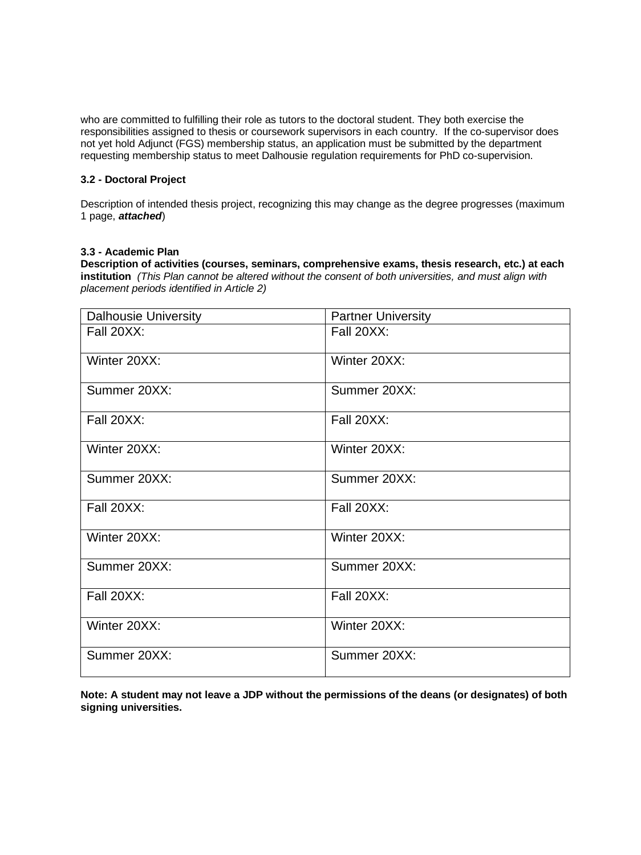who are committed to fulfilling their role as tutors to the doctoral student. They both exercise the responsibilities assigned to thesis or coursework supervisors in each country. If the co-supervisor does not yet hold Adjunct (FGS) membership status, an application must be submitted by the department requesting membership status to meet Dalhousie regulation requirements for PhD co-supervision.

# **3.2 - Doctoral Project**

Description of intended thesis project, recognizing this may change as the degree progresses (maximum 1 page, *attached*)

# **3.3 - Academic Plan**

**Description of activities (courses, seminars, comprehensive exams, thesis research, etc.) at each institution** *(This Plan cannot be altered without the consent of both universities, and must align with placement periods identified in Article 2)*

| <b>Dalhousie University</b> | <b>Partner University</b> |  |  |  |
|-----------------------------|---------------------------|--|--|--|
| Fall 20XX:                  | Fall 20XX:                |  |  |  |
| Winter 20XX:                | Winter 20XX:              |  |  |  |
| Summer 20XX:                | Summer 20XX:              |  |  |  |
| Fall 20XX:                  | Fall 20XX:                |  |  |  |
| Winter 20XX:                | Winter 20XX:              |  |  |  |
| Summer 20XX:                | Summer 20XX:              |  |  |  |
| <b>Fall 20XX:</b>           | Fall 20XX:                |  |  |  |
| Winter 20XX:                | Winter 20XX:              |  |  |  |
| Summer 20XX:                | Summer 20XX:              |  |  |  |
| Fall 20XX:                  | Fall 20XX:                |  |  |  |
| Winter 20XX:                | Winter 20XX:              |  |  |  |
| Summer 20XX:                | Summer 20XX:              |  |  |  |

**Note: A student may not leave a JDP without the permissions of the deans (or designates) of both signing universities.**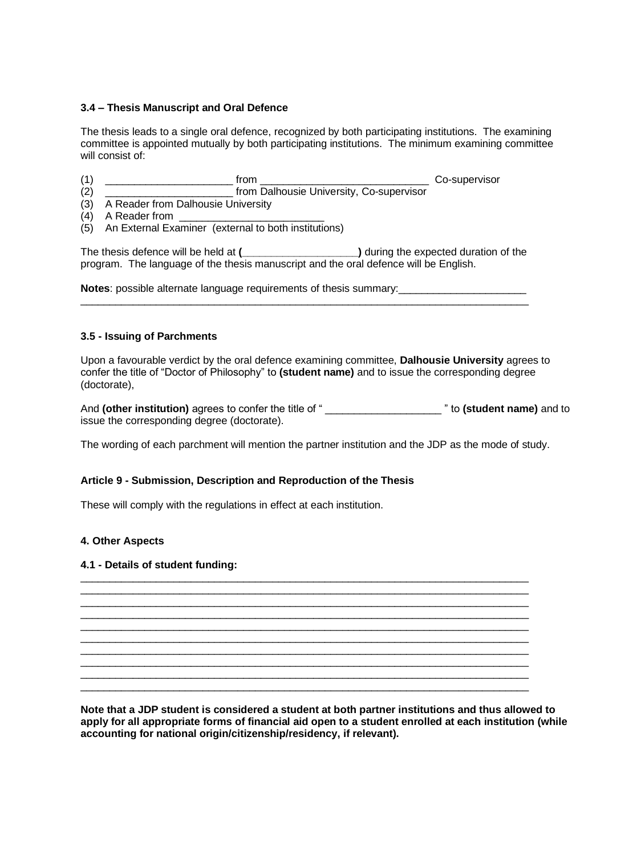# **3.4 – Thesis Manuscript and Oral Defence**

The thesis leads to a single oral defence, recognized by both participating institutions. The examining committee is appointed mutually by both participating institutions. The minimum examining committee will consist of:

- (1) \_\_\_\_\_\_\_\_\_\_\_\_\_\_\_\_\_\_\_\_\_\_ from \_\_\_\_\_\_\_\_\_\_\_\_\_\_\_\_\_\_\_\_\_\_\_\_\_\_\_\_\_ Co-supervisor from Dalhousie University, Co-supervisor
- (3) A Reader from Dalhousie University
- $(4)$  A Reader from
- (5) An External Examiner (external to both institutions)

The thesis defence will be held at **(\_\_\_\_\_\_\_\_\_\_\_\_\_\_\_\_\_\_\_\_)** during the expected duration of the program. The language of the thesis manuscript and the oral defence will be English.

\_\_\_\_\_\_\_\_\_\_\_\_\_\_\_\_\_\_\_\_\_\_\_\_\_\_\_\_\_\_\_\_\_\_\_\_\_\_\_\_\_\_\_\_\_\_\_\_\_\_\_\_\_\_\_\_\_\_\_\_\_\_\_\_\_\_\_\_\_\_\_\_\_\_\_\_\_

**Notes**: possible alternate language requirements of thesis summary:

#### **3.5 - Issuing of Parchments**

Upon a favourable verdict by the oral defence examining committee, **Dalhousie University** agrees to confer the title of "Doctor of Philosophy" to **(student name)** and to issue the corresponding degree (doctorate),

And **(other institution)** agrees to confer the title of " \_\_\_\_\_\_\_\_\_\_\_\_\_\_\_\_\_\_\_\_ " to **(student name)** and to issue the corresponding degree (doctorate).

The wording of each parchment will mention the partner institution and the JDP as the mode of study.

\_\_\_\_\_\_\_\_\_\_\_\_\_\_\_\_\_\_\_\_\_\_\_\_\_\_\_\_\_\_\_\_\_\_\_\_\_\_\_\_\_\_\_\_\_\_\_\_\_\_\_\_\_\_\_\_\_\_\_\_\_\_\_\_\_\_\_\_\_\_\_\_\_\_\_\_\_ \_\_\_\_\_\_\_\_\_\_\_\_\_\_\_\_\_\_\_\_\_\_\_\_\_\_\_\_\_\_\_\_\_\_\_\_\_\_\_\_\_\_\_\_\_\_\_\_\_\_\_\_\_\_\_\_\_\_\_\_\_\_\_\_\_\_\_\_\_\_\_\_\_\_\_\_\_ \_\_\_\_\_\_\_\_\_\_\_\_\_\_\_\_\_\_\_\_\_\_\_\_\_\_\_\_\_\_\_\_\_\_\_\_\_\_\_\_\_\_\_\_\_\_\_\_\_\_\_\_\_\_\_\_\_\_\_\_\_\_\_\_\_\_\_\_\_\_\_\_\_\_\_\_\_ \_\_\_\_\_\_\_\_\_\_\_\_\_\_\_\_\_\_\_\_\_\_\_\_\_\_\_\_\_\_\_\_\_\_\_\_\_\_\_\_\_\_\_\_\_\_\_\_\_\_\_\_\_\_\_\_\_\_\_\_\_\_\_\_\_\_\_\_\_\_\_\_\_\_\_\_\_ \_\_\_\_\_\_\_\_\_\_\_\_\_\_\_\_\_\_\_\_\_\_\_\_\_\_\_\_\_\_\_\_\_\_\_\_\_\_\_\_\_\_\_\_\_\_\_\_\_\_\_\_\_\_\_\_\_\_\_\_\_\_\_\_\_\_\_\_\_\_\_\_\_\_\_\_\_ \_\_\_\_\_\_\_\_\_\_\_\_\_\_\_\_\_\_\_\_\_\_\_\_\_\_\_\_\_\_\_\_\_\_\_\_\_\_\_\_\_\_\_\_\_\_\_\_\_\_\_\_\_\_\_\_\_\_\_\_\_\_\_\_\_\_\_\_\_\_\_\_\_\_\_\_\_ \_\_\_\_\_\_\_\_\_\_\_\_\_\_\_\_\_\_\_\_\_\_\_\_\_\_\_\_\_\_\_\_\_\_\_\_\_\_\_\_\_\_\_\_\_\_\_\_\_\_\_\_\_\_\_\_\_\_\_\_\_\_\_\_\_\_\_\_\_\_\_\_\_\_\_\_\_ \_\_\_\_\_\_\_\_\_\_\_\_\_\_\_\_\_\_\_\_\_\_\_\_\_\_\_\_\_\_\_\_\_\_\_\_\_\_\_\_\_\_\_\_\_\_\_\_\_\_\_\_\_\_\_\_\_\_\_\_\_\_\_\_\_\_\_\_\_\_\_\_\_\_\_\_\_ \_\_\_\_\_\_\_\_\_\_\_\_\_\_\_\_\_\_\_\_\_\_\_\_\_\_\_\_\_\_\_\_\_\_\_\_\_\_\_\_\_\_\_\_\_\_\_\_\_\_\_\_\_\_\_\_\_\_\_\_\_\_\_\_\_\_\_\_\_\_\_\_\_\_\_\_\_  $\_$  ,  $\_$  ,  $\_$  ,  $\_$  ,  $\_$  ,  $\_$  ,  $\_$  ,  $\_$  ,  $\_$  ,  $\_$  ,  $\_$  ,  $\_$  ,  $\_$  ,  $\_$  ,  $\_$  ,  $\_$  ,  $\_$  ,  $\_$  ,  $\_$  ,  $\_$ 

# **Article 9 - Submission, Description and Reproduction of the Thesis**

These will comply with the regulations in effect at each institution.

# **4. Other Aspects**

#### **4.1 - Details of student funding:**

**Note that a JDP student is considered a student at both partner institutions and thus allowed to apply for all appropriate forms of financial aid open to a student enrolled at each institution (while accounting for national origin/citizenship/residency, if relevant).**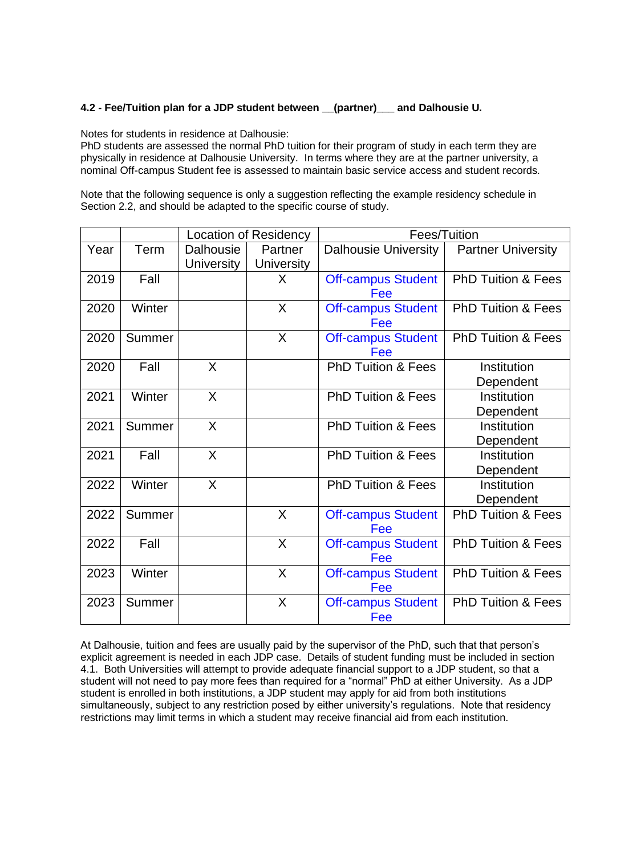# **4.2 - Fee/Tuition plan for a JDP student between \_\_(partner)\_\_\_ and Dalhousie U.**

Notes for students in residence at Dalhousie:

PhD students are assessed the normal PhD tuition for their program of study in each term they are physically in residence at Dalhousie University. In terms where they are at the partner university, a nominal Off-campus Student fee is assessed to maintain basic service access and student records.

Note that the following sequence is only a suggestion reflecting the example residency schedule in Section 2.2, and should be adapted to the specific course of study.

|      |        | <b>Location of Residency</b> |                   | Fees/Tuition                  |                               |  |  |
|------|--------|------------------------------|-------------------|-------------------------------|-------------------------------|--|--|
| Year | Term   | Dalhousie                    | Partner           | <b>Dalhousie University</b>   | <b>Partner University</b>     |  |  |
|      |        | <b>University</b>            | <b>University</b> |                               |                               |  |  |
| 2019 | Fall   |                              | X                 | <b>Off-campus Student</b>     | <b>PhD Tuition &amp; Fees</b> |  |  |
|      |        |                              |                   | Fee                           |                               |  |  |
| 2020 | Winter |                              | X                 | <b>Off-campus Student</b>     | <b>PhD Tuition &amp; Fees</b> |  |  |
|      |        |                              |                   | Fee                           |                               |  |  |
| 2020 | Summer |                              | X                 | <b>Off-campus Student</b>     | <b>PhD Tuition &amp; Fees</b> |  |  |
|      |        |                              |                   | Fee                           |                               |  |  |
| 2020 | Fall   | $\sf X$                      |                   | <b>PhD Tuition &amp; Fees</b> | Institution                   |  |  |
|      |        |                              |                   |                               | Dependent                     |  |  |
| 2021 | Winter | X                            |                   | <b>PhD Tuition &amp; Fees</b> | Institution                   |  |  |
|      |        |                              |                   |                               | Dependent                     |  |  |
| 2021 | Summer | X                            |                   | <b>PhD Tuition &amp; Fees</b> | Institution                   |  |  |
|      |        |                              |                   |                               | Dependent                     |  |  |
| 2021 | Fall   | X                            |                   | <b>PhD Tuition &amp; Fees</b> | Institution                   |  |  |
|      |        |                              |                   |                               | Dependent                     |  |  |
| 2022 | Winter | X                            |                   | <b>PhD Tuition &amp; Fees</b> | Institution                   |  |  |
|      |        |                              |                   |                               | Dependent                     |  |  |
| 2022 | Summer |                              | $\sf X$           | <b>Off-campus Student</b>     | <b>PhD Tuition &amp; Fees</b> |  |  |
|      |        |                              |                   | Fee                           |                               |  |  |
| 2022 | Fall   |                              | X                 | <b>Off-campus Student</b>     | PhD Tuition & Fees            |  |  |
|      |        |                              |                   | Fee                           |                               |  |  |
| 2023 | Winter |                              | X                 | <b>Off-campus Student</b>     | <b>PhD Tuition &amp; Fees</b> |  |  |
|      |        |                              |                   | Fee                           |                               |  |  |
| 2023 | Summer |                              | $\sf X$           | <b>Off-campus Student</b>     | <b>PhD Tuition &amp; Fees</b> |  |  |
|      |        |                              |                   | Fee                           |                               |  |  |

At Dalhousie, tuition and fees are usually paid by the supervisor of the PhD, such that that person's explicit agreement is needed in each JDP case. Details of student funding must be included in section 4.1. Both Universities will attempt to provide adequate financial support to a JDP student, so that a student will not need to pay more fees than required for a "normal" PhD at either University. As a JDP student is enrolled in both institutions, a JDP student may apply for aid from both institutions simultaneously, subject to any restriction posed by either university's regulations. Note that residency restrictions may limit terms in which a student may receive financial aid from each institution.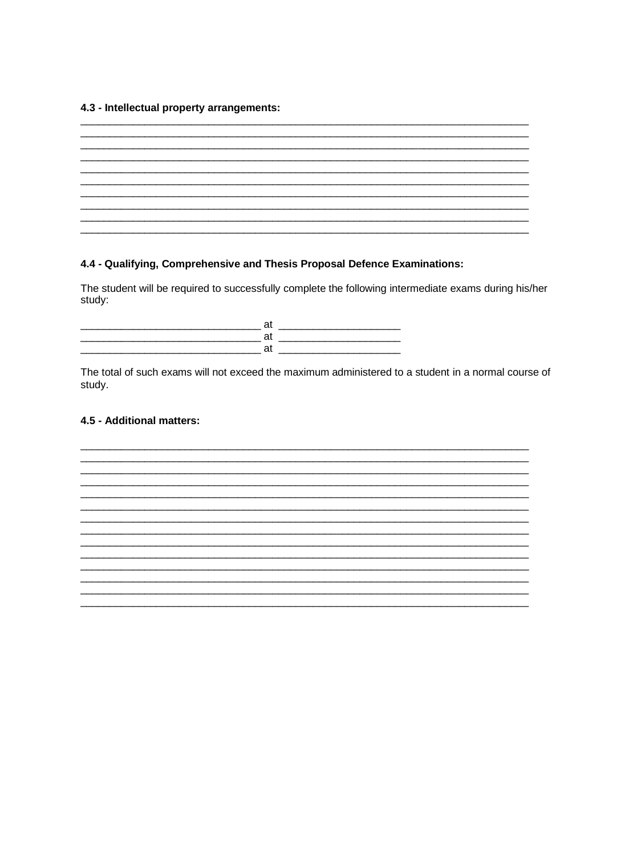# 4.3 - Intellectual property arrangements:

| __________ |  |  |  |  |           |
|------------|--|--|--|--|-----------|
|            |  |  |  |  | _________ |
|            |  |  |  |  |           |
|            |  |  |  |  |           |
|            |  |  |  |  |           |
|            |  |  |  |  |           |

# 4.4 - Qualifying, Comprehensive and Thesis Proposal Defence Examinations:

The student will be required to successfully complete the following intermediate exams during his/her study:

at <u>and the set of the set of the set of the set of the set of the set of the set of the set of the set of the<br>All the set of the set of the set of the set of the set of the set of the set of the set of the set of the set</u> <u>at a series of the series of the series of the series of the series of the series of the series of the series of the series of the series of the series of the series of the series of the series of the series of the series</u>

The total of such exams will not exceed the maximum administered to a student in a normal course of study.

# 4.5 - Additional matters:

<u> 1989 - Johann Stoff, deutscher Stoff, der Stoff, der Stoff, der Stoff, der Stoff, der Stoff, der Stoff, der S</u>